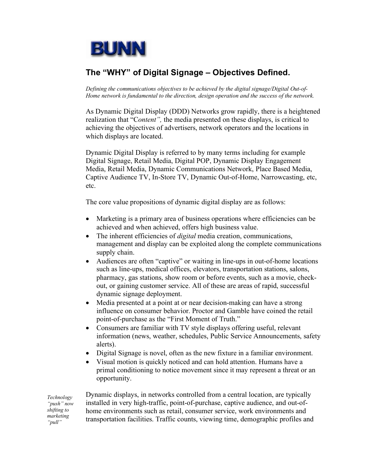

# **The "WHY" of Digital Signage – Objectives Defined.**

*Defining the communications objectives to be achieved by the digital signage/Digital Out-of-Home network is fundamental to the direction, design operation and the success of the network.* 

As Dynamic Digital Display (DDD) Networks grow rapidly, there is a heightened realization that "C*ontent",* the media presented on these displays, is critical to achieving the objectives of advertisers, network operators and the locations in which displays are located.

Dynamic Digital Display is referred to by many terms including for example Digital Signage, Retail Media, Digital POP, Dynamic Display Engagement Media, Retail Media, Dynamic Communications Network, Place Based Media, Captive Audience TV, In-Store TV, Dynamic Out-of-Home, Narrowcasting, etc, etc.

The core value propositions of dynamic digital display are as follows:

- Marketing is a primary area of business operations where efficiencies can be achieved and when achieved, offers high business value.
- The inherent efficiencies of *digital* media creation, communications, management and display can be exploited along the complete communications supply chain.
- Audiences are often "captive" or waiting in line-ups in out-of-home locations such as line-ups, medical offices, elevators, transportation stations, salons, pharmacy, gas stations, show room or before events, such as a movie, checkout, or gaining customer service. All of these are areas of rapid, successful dynamic signage deployment.
- Media presented at a point at or near decision-making can have a strong influence on consumer behavior. Proctor and Gamble have coined the retail point-of-purchase as the "First Moment of Truth."
- Consumers are familiar with TV style displays offering useful, relevant information (news, weather, schedules, Public Service Announcements, safety alerts).
- Digital Signage is novel, often as the new fixture in a familiar environment.
- Visual motion is quickly noticed and can hold attention. Humans have a primal conditioning to notice movement since it may represent a threat or an opportunity.

*Technology "push" now shifting to marketing "pull"*

Dynamic displays, in networks controlled from a central location, are typically installed in very high-traffic, point-of-purchase, captive audience, and out-ofhome environments such as retail, consumer service, work environments and transportation facilities. Traffic counts, viewing time, demographic profiles and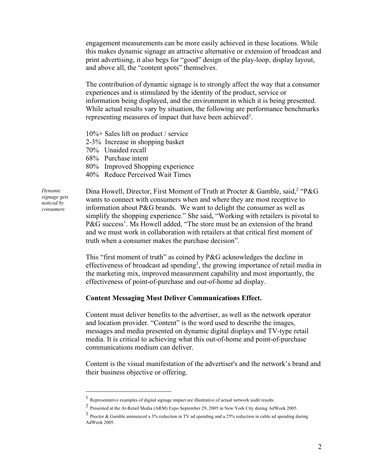engagement measurements can be more easily achieved in these locations. While this makes dynamic signage an attractive alternative or extension of broadcast and print advertising, it also begs for "good" design of the play-loop, display layout, and above all, the "content spots" themselves.

The contribution of dynamic signage is to strongly affect the way that a consumer experiences and is stimulated by the identity of the product, service or information being displayed, and the environment in which it is being presented. While actual results vary by situation, the following are performance benchmarks representing measures of impact that have been achieved<sup>1</sup>.

10%+ Sales lift on product / service

2-3% Increase in shopping basket

70% Unaided recall

68% Purchase intent

80% Improved Shopping experience

40% Reduce Perceived Wait Times

*Dynamic signage gets noticed by consumers*

Dina Howell, Director, First Moment of Truth at Procter & Gamble, said,<sup>2</sup> "P&G wants to connect with consumers when and where they are most receptive to information about P&G brands. We want to delight the consumer as well as simplify the shopping experience." She said, "Working with retailers is pivotal to P&G success'. Ms Howell added, "The store must be an extension of the brand and we must work in collaboration with retailers at that critical first moment of truth when a consumer makes the purchase decision".

This "first moment of truth" as coined by P&G acknowledges the decline in effectiveness of broadcast ad spending<sup>3</sup>, the growing importance of retail media in the marketing mix, improved measurement capability and most importantly, the effectiveness of point-of-purchase and out-of-home ad display.

#### **Content Messaging Must Deliver Communications Effect.**

Content must deliver benefits to the advertiser, as well as the network operator and location provider. "Content" is the word used to describe the images, messages and media presented on dynamic digital displays and TV-type retail media. It is critical to achieving what this out-of-home and point-of-purchase communications medium can deliver.

Content is the visual manifestation of the advertiser's and the network's brand and their business objective or offering.

 $<sup>1</sup>$  Representative examples of digital signage impact are illustrative of actual network audit results.</sup>

<sup>2</sup> Presented at the At-Retail Media (ARM) Expo September 29, 2005 in New York City during AdWeek 2005.

<sup>3</sup> Proctor & Gamble announced a 3% reduction in TV ad spending and a 25% reduction in cable ad spending during AdWeek 2005.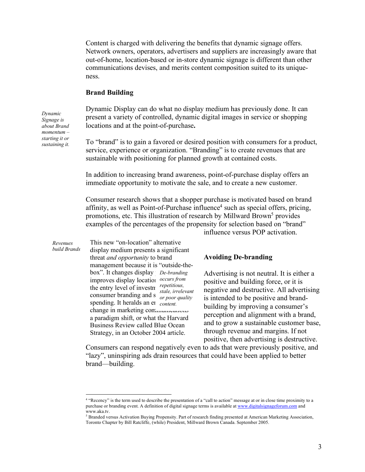Content is charged with delivering the benefits that dynamic signage offers. Network owners, operators, advertisers and suppliers are increasingly aware that out-of-home, location-based or in-store dynamic signage is different than other communications devises, and merits content composition suited to its uniqueness.

#### **Brand Building**

Dynamic Display can do what no display medium has previously done. It can present a variety of controlled, dynamic digital images in service or shopping locations and at the point-of-purchase**.** 

To "brand" is to gain a favored or desired position with consumers for a product, service, experience or organization. "Branding" is to create revenues that are sustainable with positioning for planned growth at contained costs.

In addition to increasing brand awareness, point-of-purchase display offers an immediate opportunity to motivate the sale, and to create a new customer.

Consumer research shows that a shopper purchase is motivated based on brand affinity, as well as Point-of-Purchase influence<sup>4</sup> such as special offers, pricing, promotions, etc. This illustration of research by Millward Brown<sup>5</sup> provides examples of the percentages of the propensity for selection based on "brand"

This new "on-location" alternative display medium presents a significant threat *and opportunity* to brand management because it is "outside-thebox". It changes display *pe-branding* improves display location *occurs from* the entry level of investment *repetitious*, *stale, irrelevant*<br>consumer branding and s<sub>armoor quality</sub> spending. It heralds an et content. change in marketing communications a paradigm shift, or what the Harvard Business Review called Blue Ocean Strategy, in an October 2004 article. *build Brands or poor quality* 

influence versus POP activation.

#### **Avoiding De-branding**

Advertising is not neutral. It is either a positive and building force, or it is negative and destructive. All advertising is intended to be positive and brandbuilding by improving a consumer's perception and alignment with a brand, and to grow a sustainable customer base, through revenue and margins. If not positive, then advertising is destructive.

Consumers can respond negatively even to ads that were previously positive, and "lazy", uninspiring ads drain resources that could have been applied to better brand—building.

*Dynamic Signage is about Brand momentum – starting it or sustaining it.*

*Revenues* 

 <sup>4</sup> "Recency" is the term used to describe the presentation of a "call to action" message at or in close time proximity to a purchase or branding event. A definition of digital signage terms is available at www.digitalsignageforum.com and www.aka.tv.

<sup>5</sup> Branded versus Activation Buying Propensity. Part of research finding presented at American Marketing Association, Toronto Chapter by Bill Ratcliffe, (while) President, Millward Brown Canada. September 2005.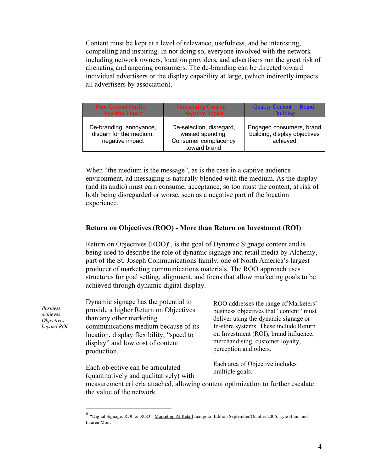Content must be kept at a level of relevance, usefulness, and be interesting, compelling and inspiring. In not doing so, everyone involved with the network including network owners, location providers, and advertisers run the great risk of alienating and angering consumers. The de-branding can be directed toward individual advertisers or the display capability at large, (which indirectly impacts all advertisers by association).

| Poor Content Quality=                                                 | Uninspiring Content $=$                                                              | Quality Content = Brand-                                             |
|-----------------------------------------------------------------------|--------------------------------------------------------------------------------------|----------------------------------------------------------------------|
| Negative Impact                                                       | <b>Negative Impact</b>                                                               | <b>Building</b>                                                      |
| De-branding, annoyance,<br>disdain for the medium,<br>negative impact | De-selection, disregard,<br>wasted spending.<br>Consumer complacency<br>toward brand | Engaged consumers, brand<br>building, display objectives<br>achieved |

When "the medium is the message", as is the case in a captive audience environment, ad messaging is naturally blended with the medium. As the display (and its audio) must earn consumer acceptance, so too must the content, at risk of both being disregarded or worse, seen as a negative part of the location experience.

### **Return on Objectives (ROO) - More than Return on Investment (ROI)**

Return on Objectives  $(ROO)^6$ , is the goal of Dynamic Signage content and is being used to describe the role of dynamic signage and retail media by Alchemy, part of the St. Joseph Communications family, one of North America's largest producer of marketing communications materials. The ROO approach uses structures for goal setting, alignment, and focus that allow marketing goals to be achieved through dynamic digital display.

Dynamic signage has the potential to provide a higher Return on Objectives than any other marketing communications medium because of its location, display flexibility, "speed to display" and low cost of content production.

ROO addresses the range of Marketers' business objectives that "content" must deliver using the dynamic signage or In-store systems. These include Return on Investment (ROI), brand influence, merchandising, customer loyalty, perception and others.

Each objective can be articulated (quantitatively and qualitatively) with Each area of Objective includes multiple goals.

measurement criteria attached, allowing content optimization to further escalate the value of the network.

*Business achieves Objectives beyond ROI*

 <sup>6</sup> "Digital Signage: ROI, or ROO". Marketing At Retail Inaugural Edition September/October 2006. Lyle Bunn and Lauren Moir.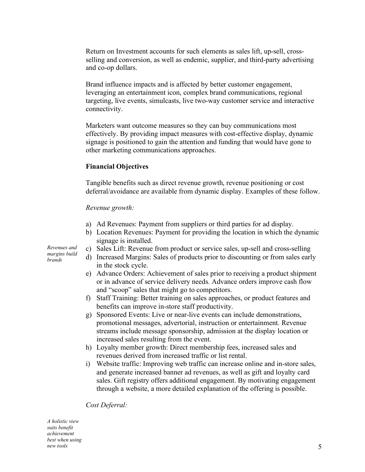Return on Investment accounts for such elements as sales lift, up-sell, crossselling and conversion, as well as endemic, supplier, and third-party advertising and co-op dollars.

Brand influence impacts and is affected by better customer engagement, leveraging an entertainment icon, complex brand communications, regional targeting, live events, simulcasts, live two-way customer service and interactive connectivity.

Marketers want outcome measures so they can buy communications most effectively. By providing impact measures with cost-effective display, dynamic signage is positioned to gain the attention and funding that would have gone to other marketing communications approaches.

### **Financial Objectives**

Tangible benefits such as direct revenue growth, revenue positioning or cost deferral/avoidance are available from dynamic display. Examples of these follow.

#### *Revenue growth:*

- a) Ad Revenues: Payment from suppliers or third parties for ad display.
- b) Location Revenues: Payment for providing the location in which the dynamic signage is installed.
- c) Sales Lift: Revenue from product or service sales, up-sell and cross-selling
- d) Increased Margins: Sales of products prior to discounting or from sales early in the stock cycle.
- e) Advance Orders: Achievement of sales prior to receiving a product shipment or in advance of service delivery needs. Advance orders improve cash flow and "scoop" sales that might go to competitors.
- f) Staff Training: Better training on sales approaches, or product features and benefits can improve in-store staff productivity.
- g) Sponsored Events: Live or near-live events can include demonstrations, promotional messages, advertorial, instruction or entertainment. Revenue streams include message sponsorship, admission at the display location or increased sales resulting from the event.
- h) Loyalty member growth: Direct membership fees, increased sales and revenues derived from increased traffic or list rental.
- i) Website traffic: Improving web traffic can increase online and in-store sales, and generate increased banner ad revenues, as well as gift and loyalty card sales. Gift registry offers additional engagement. By motivating engagement through a website, a more detailed explanation of the offering is possible.

*Cost Deferral:*

*A holistic view suits benefit achievement best when using new tools*

*Revenues and margins build brands*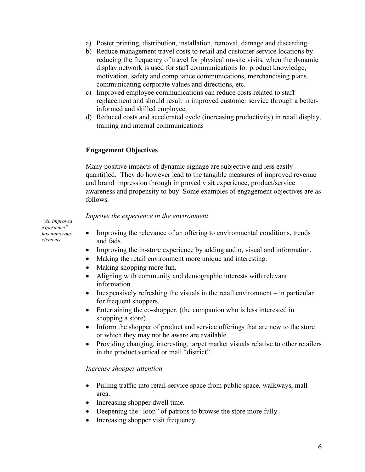- a) Poster printing, distribution, installation, removal, damage and discarding.
- b) Reduce management travel costs to retail and customer service locations by reducing the frequency of travel for physical on-site visits, when the dynamic display network is used for staff communications for product knowledge, motivation, safety and compliance communications, merchandising plans, communicating corporate values and directions, etc.
- c) Improved employee communications can reduce costs related to staff replacement and should result in improved customer service through a betterinformed and skilled employee.
- d) Reduced costs and accelerated cycle (increasing productivity) in retail display, training and internal communications

### **Engagement Objectives**

Many positive impacts of dynamic signage are subjective and less easily quantified. They do however lead to the tangible measures of improved revenue and brand impression through improved visit experience, product/service awareness and propensity to buy. Some examples of engagement objectives are as follows.

#### *Improve the experience in the environment*

• Improving the relevance of an offering to environmental conditions, trends and fads.

- Improving the in-store experience by adding audio, visual and information.
- Making the retail environment more unique and interesting.
- Making shopping more fun.
- Aligning with community and demographic interests with relevant information.
- Inexpensively refreshing the visuals in the retail environment in particular for frequent shoppers.
- Entertaining the co-shopper, (the companion who is less interested in shopping a store).
- Inform the shopper of product and service offerings that are new to the store or which they may not be aware are available.
- Providing changing, interesting, target market visuals relative to other retailers in the product vertical or mall "district".

#### *Increase shopper attention*

- Pulling traffic into retail-service space from public space, walkways, mall area.
- Increasing shopper dwell time.
- Deepening the "loop" of patrons to browse the store more fully.
- Increasing shopper visit frequency.

*"An improved experience" has numerous elements*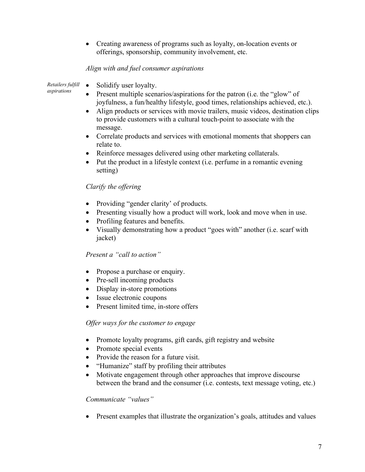• Creating awareness of programs such as loyalty, on-location events or offerings, sponsorship, community involvement, etc.

# *Align with and fuel consumer aspirations*

• Solidify user loyalty. *Retailers fulfill aspirations*

- Present multiple scenarios/aspirations for the patron (i.e. the "glow" of joyfulness, a fun/healthy lifestyle, good times, relationships achieved, etc.).
- Align products or services with movie trailers, music videos, destination clips to provide customers with a cultural touch-point to associate with the message.
- Correlate products and services with emotional moments that shoppers can relate to.
- Reinforce messages delivered using other marketing collaterals.
- Put the product in a lifestyle context (i.e. perfume in a romantic evening setting)

# *Clarify the offering*

- Providing "gender clarity' of products.
- Presenting visually how a product will work, look and move when in use.
- Profiling features and benefits.
- Visually demonstrating how a product "goes with" another (i.e. scarf with jacket)

# *Present a "call to action"*

- Propose a purchase or enquiry.
- Pre-sell incoming products
- Display in-store promotions
- Issue electronic coupons
- Present limited time, in-store offers

# *Offer ways for the customer to engage*

- Promote loyalty programs, gift cards, gift registry and website
- Promote special events
- Provide the reason for a future visit.
- "Humanize" staff by profiling their attributes
- Motivate engagement through other approaches that improve discourse between the brand and the consumer (i.e. contests, text message voting, etc.)

# *Communicate "values"*

• Present examples that illustrate the organization's goals, attitudes and values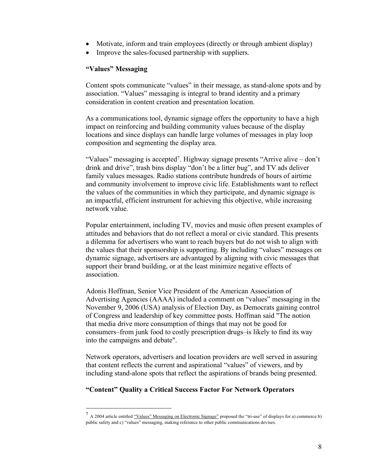- Motivate, inform and train employees (directly or through ambient display)
- Improve the sales-focused partnership with suppliers.

### **"Values" Messaging**

Content spots communicate "values" in their message, as stand-alone spots and by association. "Values" messaging is integral to brand identity and a primary consideration in content creation and presentation location.

As a communications tool, dynamic signage offers the opportunity to have a high impact on reinforcing and building community values because of the display locations and since displays can handle large volumes of messages in play loop composition and segmenting the display area.

"Values" messaging is accepted<sup>7</sup>. Highway signage presents "Arrive alive – don't drink and drive", trash bins display "don't be a litter bug", and TV ads deliver family values messages. Radio stations contribute hundreds of hours of airtime and community involvement to improve civic life. Establishments want to reflect the values of the communities in which they participate, and dynamic signage is an impactful, efficient instrument for achieving this objective, while increasing network value.

Popular entertainment, including TV, movies and music often present examples of attitudes and behaviors that do not reflect a moral or civic standard. This presents a dilemma for advertisers who want to reach buyers but do not wish to align with the values that their sponsorship is supporting. By including "values" messages on dynamic signage, advertisers are advantaged by aligning with civic messages that support their brand building, or at the least minimize negative effects of association.

Adonis Hoffman, Senior Vice President of the American Association of Advertising Agencies (AAAA) included a comment on "values" messaging in the November 9, 2006 (USA) analysis of Election Day, as Democrats gaining control of Congress and leadership of key committee posts. Hoffman said "The notion that media drive more consumption of things that may not be good for consumers–from junk food to costly prescription drugs–is likely to find its way into the campaigns and debate".

Network operators, advertisers and location providers are well served in assuring that content reflects the current and aspirational "values" of viewers, and by including stand-alone spots that reflect the aspirations of brands being presented.

# **"Content" Quality a Critical Success Factor For Network Operators**

<sup>&</sup>lt;sup>7</sup> A 2004 article entitled "Values" Messaging on Electronic Signage" proposed the "tri-use" of displays for a) commerce b) public safety and c) "values" messaging, making reference to other public communications devises.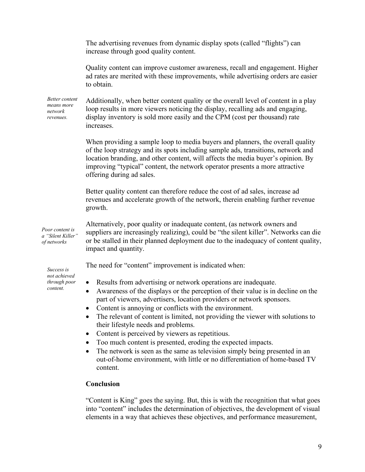The advertising revenues from dynamic display spots (called "flights") can increase through good quality content. Quality content can improve customer awareness, recall and engagement. Higher ad rates are merited with these improvements, while advertising orders are easier to obtain. Additionally, when better content quality or the overall level of content in a play loop results in more viewers noticing the display, recalling ads and engaging, display inventory is sold more easily and the CPM (cost per thousand) rate increases. When providing a sample loop to media buyers and planners, the overall quality of the loop strategy and its spots including sample ads, transitions, network and location branding, and other content, will affects the media buyer's opinion. By improving "typical" content, the network operator presents a more attractive offering during ad sales. Better quality content can therefore reduce the cost of ad sales, increase ad revenues and accelerate growth of the network, therein enabling further revenue growth. Alternatively, poor quality or inadequate content, (as network owners and suppliers are increasingly realizing), could be "the silent killer". Networks can die or be stalled in their planned deployment due to the inadequacy of content quality, impact and quantity. The need for "content" improvement is indicated when: • Results from advertising or network operations are inadequate. • Awareness of the displays or the perception of their value is in decline on the part of viewers, advertisers, location providers or network sponsors. • Content is annoying or conflicts with the environment. • The relevant of content is limited, not providing the viewer with solutions to their lifestyle needs and problems. • Content is perceived by viewers as repetitious. • Too much content is presented, eroding the expected impacts. • The network is seen as the same as television simply being presented in an out-of-home environment, with little or no differentiation of home-based TV content. *Better content means more network revenues. Success is not achieved through poor content. Poor content is a "Silent Killer" of networks*

### **Conclusion**

"Content is King" goes the saying. But, this is with the recognition that what goes into "content" includes the determination of objectives, the development of visual elements in a way that achieves these objectives, and performance measurement,